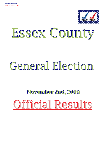

# Essex County

# General Election

# November 2nd, 2010 November 2nd, 2010 Official Results Official Results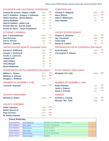#### GOVERNOR AND LIEUTENANT GOVERNOR COMPTROLLER

| <b>Andrew M. Cuomo - Robert J.Duffy</b> | 7991 | 62%   |
|-----------------------------------------|------|-------|
| Carl P. Paladino - Gregory J. Edwards   | 4464 | 35%   |
| <b>Howie Hawkins - Gloria Mattera</b>   | 178  | $1\%$ |
| <b>Jimmy McMillan</b>                   | 99   | $1\%$ |
| <b>Warren Redlich - Alden Link</b>      | 114  | $1\%$ |
| <b>Charles Barron - Eva M. Doyle</b>    | 7    | $0\%$ |
| Kristin M. Davis - Tanya Gendelman      | 71   | $1\%$ |

## ATTORNEY GENERAL

| Eric. T Schneiderman  | 5440   | 47% |
|-----------------------|--------|-----|
| <b>Dan Donovan</b>    | 5895   | 51% |
| <b>Carl E. Person</b> | 132    | 1%  |
| Ramon J. Jimenez      | $15 -$ | 0%  |

| 7504 | 61%   |
|------|-------|
| 4557 | 37%   |
| 99   | $1\%$ |
| 55   | $0\%$ |
| 48   | $0\%$ |
| 31   | $0\%$ |
| 11   | $0\%$ |
|      |       |

#### REPRESENTATIVE IN CONGRESS 23rd District STATE SENATE (45th District)

| <b>William L. Owens</b>         | 3971 | 48% |
|---------------------------------|------|-----|
| <b>Matthew A. Doheny</b>        | 3813 | 46% |
| Douglas L. Hoffman              | 436  | 5%  |
| <b>MEMBER OF ASSEMBLY 113th</b> |      |     |

**Teresa R. Sayward** 10003

**Michael G. Diskin** 2556

| <b>Thomas P. DiNapoli</b>  | 5053 | 43%         |
|----------------------------|------|-------------|
| <b>Harry Wilson</b>        | 6317 | 53%         |
| <b>Julia A. Willebrand</b> | 417  | 4%          |
| John Gaetani               | 69   | <u> 1% </u> |

UNITED STATES SENATE

| <b>Charles E. Schumer</b> | 7057 | 58%   |
|---------------------------|------|-------|
| <b>Jay Townsend</b>       | 4949 | 40%   |
| <b>Colia Clark</b>        | 160  | $1\%$ |
| <b>Randy A. Credico</b>   | 86   | 1%    |

## UNITED STATES SENATE (Unexpired Term) REPRESENTATIVE IN CONGRESS 20th District

| <b>Scott Murphy</b>          | 2319 | 54% |
|------------------------------|------|-----|
| <b>Christopher P. Gibson</b> | 1962 | 46% |

| <b>Elizabeth O'C Little</b>     | 10382 | 100% |
|---------------------------------|-------|------|
| <b>MEMBER OF ASSEMBLY 114th</b> |       |      |
| <b>Rudy Johnson</b>             | 145   | 30%  |
| <b>Janet L. Duprey</b>          | 274   | 56%  |
| David J. Kimmel                 | 69    | 14%  |
| <b>SHERIFF</b>                  |       |      |
| <b>Richard C. Cutting</b>       | 7766  | 70%  |
| <b>Michael "Ike" Tyler</b>      | 3406  | 30%  |

## COUNTY CORONER

COUNTY TREASURER

| <b>Kellie Valentine</b>  | 7399 | 100% |
|--------------------------|------|------|
| <b>Walter Marvin III</b> | 7480 | 100% |
| <b>Paul Connery</b>      | 7474 | 100% |
| <b>W. Robert Huestis</b> | 7075 | 100% |

| <b>Town Write-Ins</b> |                      |                                   |  |  |
|-----------------------|----------------------|-----------------------------------|--|--|
| <b>CHESTERFIELD</b>   | Lynn Hathaway        | MEMBER OF ASSEMBLY 113th DISTRICT |  |  |
| <b>CHESTERFIELD</b>   | <b>Gary Finney</b>   | <b>COUNTY TREASURER</b>           |  |  |
| <b>CHESTERFIELD</b>   | <b>Mark Morrow</b>   | <b>TOWN JUSTICE</b>               |  |  |
| <b>CHESTERFIELD</b>   | <b>Gary Finney</b>   | <b>TOWN JUSTICE</b>               |  |  |
| <b>CROWN POINT</b>    | Denis Grauer         | <b>COUNTY TREASURER</b>           |  |  |
| <b>CROWN POINT</b>    | <b>Denis Grauger</b> | <b>SHERIFF</b>                    |  |  |
|                       |                      |                                   |  |  |

100%

100%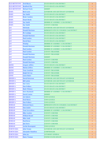| <b>ELIZABETHTOWN</b> | <b>Fred Blazac</b>        | <b>STATE SENATE 45th DISTRICT</b>        | $\overline{4}$ |
|----------------------|---------------------------|------------------------------------------|----------------|
| <b>ELIZABETHTOWN</b> | <b>Bradford Else</b>      | <b>STATE SENATE 45th DISTRICT</b>        | $\mathbf{1}$   |
| <b>ELIZABETHTOWN</b> | Michael Doyle             | <b>SHERIFF</b>                           | $\mathbf{1}$   |
| <b>ESSEX</b>         | <b>Rick Lazio</b>         | <b>GOVERNOR AND LIEUTENANT GOVERNOR</b>  | $\bf{1}$       |
| <b>ESSEX</b>         | Sue Smith                 | <b>STATE SENATE 45th DISTRICT</b>        | $\bf{1}$       |
| <b>ESSEX</b>         | <b>Brain Camden</b>       | <b>STATE SENATE 45th DISTRICT</b>        | $\mathbf{1}$   |
| <b>ESSEX</b>         | <b>Stuart Brody</b>       | <b>STATE SENATE 45th DISTRICT</b>        | $\mathbf{1}$   |
| <b>ESSEX</b>         | <b>Sue Smith</b>          | MEMBER OF ASSEMBLY 113th DISTRICT        | $\bf{1}$       |
| <b>ESSEX</b>         | <b>Sue Smith</b>          | <b>COUNTY CORONER</b>                    | $\overline{4}$ |
| <b>JAY</b>           | Will Kohr                 | GOVERNOR AND LIEUTENANT GOVERNOR         | $\mathbf{1}$   |
| <b>JAY</b>           | <b>Donald Morrison</b>    | REPRESENTATIVE IN CONGRESS 23rd DISTRICT | $\bf{1}$       |
| <b>JAY</b>           | Pk Coolidge               | <b>STATE SENATE 45th DISTRICT</b>        | $\bf{1}$       |
| <b>JAY</b>           | <b>Donald Morrison</b>    | <b>STATE SENATE 45th DISTRICT</b>        | $\overline{2}$ |
| <b>JAY</b>           | <b>Paul Gordon</b>        | <b>STATE SENATE 45th DISTRICT</b>        | $\mathbf{1}$   |
| <b>JAY</b>           | <b>David Mace</b>         | <b>STATE SENATE 45th DISTRICT</b>        | $\mathbf{1}$   |
| <b>JAY</b>           | Windop                    | <b>MEMBER OF ASSEMBLY 113th DISTRICT</b> | $\mathbf{1}$   |
| <b>JAY</b>           | <b>Donald Morrison</b>    | MEMBER OF ASSEMBLY 113th DISTRICT        | $\mathbf{1}$   |
| <b>JAY</b>           | <b>Paul Gordon</b>        | MEMBER OF ASSEMBLY 113th DISTRICT        | $\mathbf{1}$   |
| <b>JAY</b>           | <b>Paul Gordon</b>        | <b>COUNTY TREASURER</b>                  | $\mathbf{1}$   |
| <b>JAY</b>           | <b>Donald Morrison</b>    | <b>COUNTY TREASURER</b>                  | $\mathbf{1}$   |
| <b>JAY</b>           | <b>Donald Morrison</b>    | <b>SHERIFF</b>                           | 1              |
| <b>JAY</b>           | <b>Paul Gordon</b>        |                                          | $\overline{4}$ |
| <b>JAY</b>           |                           | <b>COUNTY CORONER</b>                    |                |
|                      | <b>Donald Morrison</b>    | <b>COUNTY CORONER</b>                    | $\overline{4}$ |
| <b>KEENE</b>         | <b>Gregory Jeffers</b>    | <b>STATE SENATE 45th DISTRICT</b>        | $\mathbf{1}$   |
| <b>KEENE</b>         | <b>Marian Jeffers</b>     | MEMBER OF ASSEMBLY 113th DISTRICT        | $\mathbf{1}$   |
| <b>KEENE</b>         | <b>Tony Goodwin</b>       | <b>COUNTY TREASURER</b>                  | $\mathbf{1}$   |
| <b>KEENE</b>         | <b>Ralph McCray</b>       | <b>COUNTY TREASURER</b>                  | $\mathbf{1}$   |
| <b>LEWIS</b>         | Laura Baker               | <b>COUNTY TREASURER</b>                  | $\overline{2}$ |
| <b>MINERVA</b>       | <b>David Patterson</b>    | <b>GOVERNOR AND LIEUTENANT GOVERNOR</b>  | $\overline{2}$ |
| <b>MINERVA</b>       | <b>Bill Larkin</b>        | <b>GOVERNOR AND LIEUTENANT GOVERNOR</b>  | $\mathbf{1}$   |
| <b>MINERVA</b>       | <b>Sue Corey</b>          | <b>STATE SENATE 45th DISTRICT</b>        | 1              |
| <b>MINERVA</b>       | Dan Wallace               | STATE SENATE 45th DISTRICT               | $\mathbf{1}$   |
| <b>MINERVA</b>       | <b>Mark Whitney</b>       | <b>STATE SENATE 45th DISTRICT</b>        | $\overline{2}$ |
| <b>MINERVA</b>       | <b>Steve Ruzbacki</b>     | MEMBER OF ASSEMBLY 113th DISTRICT        | $\mathbf{1}$   |
| <b>MINERVA</b>       | <b>David Currier</b>      | <b>SHERIFF</b>                           | 1              |
| <b>MINERVA</b>       | <b>Art Liberty</b>        | <b>TOWN JUSTICE</b>                      | $\overline{3}$ |
| <b>MINERVA</b>       | <b>Fred Morse</b>         | <b>TOWN JUSTICE</b>                      | 1              |
| <b>MINERVA</b>       | Dan Wallace               | <b>TOWN JUSTICE</b>                      | $\mathbf{1}$   |
| <b>MORIAH</b>        | <b>Deborah Hayes</b>      | REPRESENTATIVE IN CONGRESS 23rd DISTRICT | 1              |
| <b>MORIAH</b>        | Dan Linder                | <b>STATE SENATE 45th DISTRICT</b>        | $\mathbf{1}$   |
| <b>MORIAH</b>        | <b>Tom Scozzafava</b>     | MEMBER OF ASSEMBLY 113th DISTRICT        | 1              |
| <b>MORIAH</b>        | <b>Mike Gorden</b>        | <b>COUNTY CORONER</b>                    | $\mathbf{1}$   |
| <b>MORIAH</b>        | <b>William Bryant</b>     | <b>COUNTY CORONER</b>                    | 1              |
| <b>MORIAH</b>        | <b>Mike Stahl</b>         | <b>COUNTY CORONER</b>                    | $\mathbf{1}$   |
| <b>MORIAH</b>        | <b>Paul Reese</b>         | <b>COUNTY CORONER</b>                    | 1              |
| <b>MORIAH</b>        | <b>Jim Davis</b>          | <b>COUNTY CORONER</b>                    | $\mathbf{1}$   |
| <b>MORIAH</b>        | <b>Archie Rosenquist</b>  | <b>TOWN JUSTICE</b>                      | 1              |
| <b>NORTH ELBA</b>    | John Nemjo                | <b>GOVERNOR AND LIEUTENANT GOVERNOR</b>  | $\mathbf{1}$   |
| <b>NORTH ELBA</b>    | <b>Alexander Hamilton</b> | <b>COMPTROLLER</b>                       | 1              |
| <b>NORTH ELBA</b>    | <b>John Jay</b>           | <b>ATTORNEY GENERAL</b>                  | $\mathbf{1}$   |
| <b>NORTH ELBA</b>    | <b>Harry Truman</b>       | UNITED STATES SENATE                     | 1              |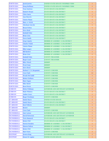| <b>NORTH ELBA</b>  | <b>Jacob Javitts</b>    | UNITED STATES SENATE UNEXPIRED TERM     | $\mathbf{1}$   |
|--------------------|-------------------------|-----------------------------------------|----------------|
| NORTH ELBA         | Doug Hoffman            | UNITED STATES SENATE UNEXPIRED TERM     | $\overline{2}$ |
| <b>NORTH ELBA</b>  | <b>Tony Kadzius</b>     | <b>STATE SENATE 45th DISTRICT</b>       | $\,1$          |
| <b>NORTH ELBA</b>  | <b>Emmett Hoops</b>     | <b>STATE SENATE 45th DISTRICT</b>       | $\mathbf{1}$   |
| <b>NORTH ELBA</b>  | Chris Santa             | <b>STATE SENATE 45th DISTRICT</b>       | $\mathbf{1}$   |
|                    |                         |                                         |                |
| <b>NORTH ELBA</b>  | <b>Ann Morette</b>      | <b>STATE SENATE 45th DISTRICT</b>       | $\overline{2}$ |
| <b>NORTH ELBA</b>  | Valerie Plame           | <b>STATE SENATE 45th DISTRICT</b>       | $\mathbf{1}$   |
| NORTH ELBA         | Mary A. Welch           | <b>STATE SENATE 45th DISTRICT</b>       | $\mathbf{1}$   |
| <b>NORTH ELBA</b>  | <b>Abraham Lincoln</b>  | <b>STATE SENATE 45th DISTRICT</b>       | $\mathbf{1}$   |
| <b>NORTH ELBA</b>  | <b>Bryan Felton</b>     | <b>STATE SENATE 45th DISTRICT</b>       | $\mathbf{1}$   |
| <b>NORTH ELBA</b>  | <b>Steve Reid</b>       | <b>STATE SENATE 45th DISTRICT</b>       | $\mathbf{1}$   |
| <b>NORTH ELBA</b>  | <b>Kimball Daby</b>     | <b>STATE SENATE 45th DISTRICT</b>       | $\mathbf{1}$   |
| <b>NORTH ELBA</b>  | <b>Brian Grisi</b>      | <b>STATE SENATE 45th DISTRICT</b>       | $\mathbf{1}$   |
| NORTH ELBA         | <b>Favor Smith</b>      | <b>STATE SENATE 45th DISTRICT</b>       | $\mathbf{1}$   |
| <b>NORTH ELBA</b>  | <b>Greg Camelo</b>      | MEMBER OF ASSEMBLY 113th DISTRICT       | $\mathbf{1}$   |
| <b>NORTH ELBA</b>  | <b>Charles Walsh</b>    | MEMBER OF ASSEMBLY 113th DISTRICT       | $\mathbf{1}$   |
| <b>NORTH ELBA</b>  | <b>Valerie Plame</b>    | MEMBER OF ASSEMBLY 113th DISTRICT       | $\mathbf{1}$   |
| <b>NORTH ELBA</b>  | <b>Mike Langey</b>      | MEMBER OF ASSEMBLY 113th DISTRICT       | $\mathbf{1}$   |
| <b>NORTH ELBA</b>  | <b>Bill Bartlett</b>    | MEMBER OF ASSEMBLY 113th DISTRICT       | $\mathbf{1}$   |
| <b>NORTH ELBA</b>  | <b>Brian Grisi</b>      | MEMBER OF ASSEMBLY 113th DISTRICT       | $\mathbf{1}$   |
| <b>NORTH ELBA</b>  | <b>Kimball Daby</b>     | <b>COUNTY TREASURER</b>                 | $\mathbf{1}$   |
| <b>NORTH ELBA</b>  | <b>Roger Loud</b>       | <b>COUNTY TREASURER</b>                 | $\mathbf{1}$   |
| <b>NORTH ELBA</b>  | <b>Riley Winch</b>      | <b>SHERIFF</b>                          | $\mathbf{1}$   |
| <b>NORTH ELBA</b>  | <b>Wyatt Earp</b>       | <b>SHERIFF</b>                          | $\mathbf{1}$   |
| <b>NORTH ELBA</b>  | <b>Steve Reed</b>       | <b>SHERIFF</b>                          | $\mathbf{1}$   |
| <b>NORTH ELBA</b>  | Herbert V. W. Bergamini | <b>COUNTY CORONER</b>                   | $\overline{2}$ |
| <b>NORTH ELBA</b>  | <b>Cora Clark</b>       | <b>COUNTY CORONER</b>                   | 12             |
| <b>NORTH ELBA</b>  | <b>Woods McCuhill</b>   | <b>COUNTY CORONER</b>                   | $\mathbf{1}$   |
| <b>NORTH ELBA</b>  | <b>Robert DeMuro</b>    | <b>COUNTY CORONER</b>                   | $\mathbf{1}$   |
| <b>NORTH ELBA</b>  | <b>Mary Fagan</b>       | <b>COUNTY CORONER</b>                   | $\mathbf{1}$   |
| <b>NORTH ELBA</b>  | <b>Mike Butler</b>      | <b>COUNTY CORONER</b>                   | $\mathbf{1}$   |
| <b>NORTH ELBA</b>  | <b>Ross Perrot</b>      | <b>COUNTY CORONER</b>                   | $\mathbf{1}$   |
| <b>SCHROON</b>     | <b>Helen Wildman</b>    | <b>GOVERNOR AND LIEUTENANT GOVERNOR</b> | $\mathbf{1}$   |
| <b>SCHROON</b>     | <b>Mark Whitney</b>     | <b>STATE SENATE 45th DISTRICT</b>       | $\overline{2}$ |
| <b>SCHROON</b>     | <b>Amber Grace</b>      | <b>STATE SENATE 45th DISTRICT</b>       | $\mathbf{1}$   |
| <b>SCHROON</b>     | <b>Roger Friedman</b>   | <b>COUNTY CORONER</b>                   | $\overline{2}$ |
| <b>ST ARMAND</b>   | <b>Sandy Hayes</b>      | UNITED STATES SENATE                    | $\overline{2}$ |
|                    |                         |                                         |                |
| <b>ST ARMAND</b>   | <b>Sandy Hayes</b>      | <b>STATE SENATE 45th DISTRICT</b>       | $\mathbf{1}$   |
| <b>ST ARMAND</b>   | <b>Eiryl Willette</b>   | <b>STATE SENATE 45th DISTRICT</b>       | $\mathbf{1}$   |
| <b>ST ARMAND</b>   | Reuter                  | <b>SHERIFF</b>                          | $\mathbf{1}$   |
| <b>ST ARMAND</b>   | <b>Cora Clark</b>       | <b>COUNTY CORONER</b>                   | $\mathbf{1}$   |
| <b>TICONDEROGA</b> | <b>Gary Latour</b>      | GOVERNOR AND LIEUTENANT GOVERNOR        | $\mathbf{1}$   |
| <b>TICONDEROGA</b> | <b>David Patterson</b>  | <b>GOVERNOR AND LIEUTENANT GOVERNOR</b> | $\mathbf{1}$   |
| <b>TICONDEROGA</b> | <b>Terry Bannock</b>    | <b>STATE SENATE 45th DISTRICT</b>       | $\mathbf{1}$   |
| <b>TICONDEROGA</b> | <b>Robert Pell</b>      | <b>STATE SENATE 45th DISTRICT</b>       | $\mathbf{1}$   |
| <b>TICONDEROGA</b> | <b>Patrick Hendrix</b>  | MEMBER OF ASSEMBLY 113th DISTRICT       | $\mathbf{1}$   |
| <b>TICONDEROGA</b> | <b>Sharon Dalton</b>    | MEMBER OF ASSEMBLY 113th DISTRICT       | $\mathbf{1}$   |
| <b>TICONDEROGA</b> | <b>Robert Pell</b>      | MEMBER OF ASSEMBLY 113th DISTRICT       | $\mathbf{1}$   |
| <b>TICONDEROGA</b> | <b>Matt Watts</b>       | <b>COUNTY CORONER</b>                   | $\overline{2}$ |
| <b>WESTPORT</b>    | <b>Jessica King</b>     | GOVERNOR AND LIEUTENANT GOVERNOR        | 2              |
| <b>WESTPORT</b>    | Ernest H. Lapine        | UNITED STATES SENATE                    | $\mathbf{1}$   |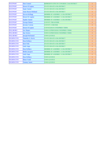| <b>WESTPORT</b>   | Dan Connel                | REPRESENTATIVE IN CONGRESS 23rd DISTRICT | $\mathbf{1}$   |
|-------------------|---------------------------|------------------------------------------|----------------|
| <b>WESTPORT</b>   | <b>Ernest H Lapine</b>    | <b>STATE SENATE 45th DISTRICT</b>        | $\mathbf{1}$   |
| <b>WESTPORT</b>   | Sopie Samul               | <b>STATE SENATE 45th DISTRICT</b>        | $\mathbf{1}$   |
| <b>WESTPORT</b>   | <b>Anne Russo-Holland</b> | <b>STATE SENATE 45th DISTRICT</b>        | 1              |
| <b>WESTPORT</b>   | <b>Steven Kellogg</b>     | MEMBER OF ASSEMBLY 113th DISTRICT        | $\mathbf{1}$   |
| <b>WESTPORT</b>   | Ernest H. Lapine          | MEMBER OF ASSEMBLY 113th DISTRICT        | $\mathbf{1}$   |
| <b>WESTPORT</b>   | Sophie Samul              | MEMBER OF ASSEMBLY 113th DISTRICT        | 1              |
| <b>WESTPORT</b>   | <b>George Hainer</b>      | <b>COUNTY TREASURER</b>                  | $\overline{2}$ |
| <b>WESTPORT</b>   | <b>Jerome Curran</b>      | <b>COUNTY CORONER</b>                    | $\overline{2}$ |
| <b>WESTPORT</b>   | <b>Ernest H Lapine</b>    | <b>COUNCILMAN (UNEXPIRED TERM)</b>       | $\mathbf{1}$   |
| <b>WILLSBORO</b>  | Lee Sloper                | TOWN SUPERVISOR (UNEXPIRED TERM)         | $\mathbf{1}$   |
| <b>WILLSBORO</b>  | <b>Sue Swires</b>         | TOWN SUPERVISOR (UNEXPIRED TERM)         | $\mathbf{1}$   |
| <b>WILLSBORO</b>  | <b>Joseph McDaniel</b>    | <b>TOWN JUSTICE</b>                      | $\mathbf{1}$   |
| <b>WILMINGTON</b> | <b>Timothy G. Kertz</b>   | <b>STATE SENATE 45th DISTRICT</b>        | $\mathbf{1}$   |
| <b>WILMINGTON</b> | <b>Don DeMacy</b>         | <b>STATE SENATE 45th DISTRICT</b>        | $\mathbf{1}$   |
| <b>WILMINGTON</b> | <b>Kate Fish</b>          | <b>STATE SENATE 45th DISTRICT</b>        | $\mathbf{1}$   |
| <b>WILMINGTON</b> | <b>Lady Gaga</b>          | <b>STATE SENATE 45th DISTRICT</b>        | $\mathbf{1}$   |
| <b>WILMINGTON</b> | <b>Don DeMacy</b>         | MEMBER OF ASSEMBLY 113th DISTRICT        | $\mathbf{1}$   |
| <b>WILMINGTON</b> | <b>Robin Jacques</b>      | MEMBER OF ASSEMBLY 113th DISTRICT        | $\mathbf{1}$   |
| <b>WILMINGTON</b> | Lady Gaga                 | MEMBER OF ASSEMBLY 113th DISTRICT        | $\mathbf{1}$   |
| <b>WILMINGTON</b> | <b>Don DeMacy</b>         | <b>TOWN JUSTICE</b>                      | 1              |
| <b>WILMINGTON</b> | <b>Elmer Fudd</b>         | <b>TOWN JUSTICE</b>                      | 1              |
| <b>WILMINGTON</b> | <b>Tammy Sante</b>        | <b>TOWN JUSTICE</b>                      | 1              |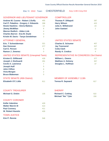Elec Yr: 2010 Town: CHESTERFIELD Assy 113th-Cong 23rd

# GOVERNOR AND LIEUTENANT GOVERNOR COMPTROLLER

| <b>Andrew M. Cuomo - Robert J.Duffy</b> | 455 |
|-----------------------------------------|-----|
| Carl P. Paladino - Gregory J. Edwards   | 298 |
| <b>Howie Hawkins - Gloria Mattera</b>   | 13  |
| <b>Jimmy McMillan</b>                   | 6   |
| <b>Warren Redlich - Alden Link</b>      | 4   |
| <b>Charles Barron - Eva M. Doyle</b>    | 0   |
| Kristin M. Davis - Tanya Gendelman      | 3   |
| <b>ATTORNEY GENERAL</b>                 |     |
| Eric. T Schneiderman                    | 321 |
| <b>Dan Donovan</b>                      | 377 |
| <b>Carl E. Person</b>                   | 5   |

# **Ramon J. Jimenez** 0 UNITED STATES SENATE (Unexpired Term)

| UNITED OTATED OFINITE (UROPHOD TOHIT) |                |
|---------------------------------------|----------------|
| <b>Kirsten E. Gillibrand</b>          | 428            |
| Joseph J. DioGuardi                   | 291            |
| <b>Cecile A. Lawrence</b>             | 7              |
| <b>Joseph Huff</b>                    | 5              |
| <b>John Clifton</b>                   | 6              |
| <b>Vivia Morgan</b>                   | $\overline{2}$ |
| <b>Bruce Blakeman</b>                 | 0              |
| <b>STATE SENATE (45th District)</b>   |                |

# **Elizabeth O'C Little** 611

#### COUNTY TREASURER

**Michael G. Diskin** 135

#### COUNTY CORONER

| <b>Kellie Valentine</b>  | 429 |
|--------------------------|-----|
| <b>Walter Marvin III</b> | 414 |
| <b>Paul Connery</b>      | 411 |
| <b>W. Robert Huestis</b> | 426 |
| <b>TOWN JUSTICE</b>      |     |

| <b>Kim P. Rennie</b> | 546 |
|----------------------|-----|
|----------------------|-----|

| <b>Thomas P. DiNapoli</b> | 287 |
|---------------------------|-----|
| <b>Harry Wilson</b>       | 422 |
| Julia A. Willebrand       | 24  |
| <b>John Gaetani</b>       |     |

# UNITED STATES SENATE

| <b>Charles E. Schumer</b> | 407      |
|---------------------------|----------|
| <b>Jay Townsend</b>       | 327      |
| Colia Clark               | 1 $\cap$ |
| <b>Randy A. Credico</b>   |          |

## REPRESENTATIVE IN CONGRESS 23rd District

| <b>William L. Owens</b>  | 377 |
|--------------------------|-----|
| <b>Matthew A. Doheny</b> | 357 |
| Douglas L. Hoffman       | -37 |

#### MEMBER OF ASSEMBLY 113th

| <b>Teresa R. Sayward</b> | 617 |
|--------------------------|-----|
|--------------------------|-----|

| <b>Richard C. Cutting</b>  | 522 |
|----------------------------|-----|
| <b>Michael "Ike" Tyler</b> | 150 |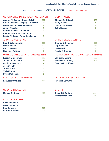Elec Yr: 2010 Town: CROWN POINT Assy 113th-Cong 23rd

# GOVERNOR AND LIEUTENANT GOVERNOR COMPTROLLER

| <b>Andrew M. Cuomo - Robert J.Duffy</b>                               | 277            |
|-----------------------------------------------------------------------|----------------|
| Carl P. Paladino - Gregory J. Edwards                                 | 258            |
| <b>Howie Hawkins - Gloria Mattera</b>                                 | $\overline{2}$ |
| <b>Jimmy McMillan</b>                                                 | $\overline{2}$ |
| <b>Warren Redlich - Alden Link</b>                                    | $\overline{1}$ |
| <b>Charles Barron - Eva M. Doyle</b>                                  | 0              |
| Kristin M. Davis - Tanya Gendelman                                    | 5              |
| <b>ATTORNEY GENERAL</b>                                               |                |
| <b>Eric. T Schneiderman</b>                                           | 188            |
| <b>Dan Donovan</b>                                                    | 307            |
| <b>Carl E. Person</b>                                                 | 1              |
| <b>Ramon J. Jimenez</b>                                               | 0              |
| <b>UNITED STATES SENATE (Unexpired Term)</b>                          |                |
| <b>Kirsten E. Gillibrand</b>                                          | 259            |
| Joseph J. DioGuardi                                                   | 253            |
| <b>Cecile A. Lawrence</b>                                             | 4              |
| <b>Joseph Huff</b>                                                    | 4              |
| <b>John Clifton</b>                                                   | 1              |
| <b>Vivia Morgan</b>                                                   | 1              |
| <b>Bruce Blakeman</b>                                                 | 1              |
| $\sim$ - $\sim$ - $\sim$ - $\sim$ - $\sim$ - $\sim$ - $\sim$ - $\sim$ |                |

# STATE SENATE (45th District)

| 461 |
|-----|
|     |

# COUNTY TREASURER

| <b>COUNTY CORONER</b>           |
|---------------------------------|
|                                 |
| <b>Kellie Valentine</b><br>330  |
| <b>Walter Marvin III</b><br>303 |
| <b>Paul Connery</b><br>360      |
| <b>W. Robert Huestis</b><br>308 |

| <b>Thomas P. DiNapoli</b> | 169 |
|---------------------------|-----|
| <b>Harry Wilson</b>       | 312 |
| Julia A. Willebrand       | 24  |
| <b>John Gaetani</b>       |     |

# UNITED STATES SENATE

| <b>Charles E. Schumer</b> | 225 |
|---------------------------|-----|
| <b>Jay Townsend</b>       | 282 |
| Colia Clark               |     |
| <b>Randy A. Credico</b>   |     |

# REPRESENTATIVE IN CONGRESS 23rd District

| William L. Owens         | 208 |
|--------------------------|-----|
| <b>Matthew A. Doheny</b> | 302 |
| Douglas L. Hoffman       | -22 |

# MEMBER OF ASSEMBLY 113th

| 471 |
|-----|
|     |

| <b>Richard C. Cutting</b>  | 366 |
|----------------------------|-----|
| <b>Michael "Ike" Tyler</b> | 126 |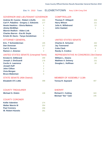# Elec Yr: 2010 Town: ELIZABETHTOWN Assy 113th-Cong 23rd

## GOVERNOR AND LIEUTENANT GOVERNOR COMPTROLLER

| <b>Andrew M. Cuomo - Robert J.Duffy</b>      | 303            |
|----------------------------------------------|----------------|
| Carl P. Paladino - Gregory J. Edwards        | 177            |
| <b>Howie Hawkins - Gloria Mattera</b>        | 4              |
| <b>Jimmy McMillan</b>                        | 1              |
| <b>Warren Redlich - Alden Link</b>           | 5              |
| <b>Charles Barron - Eva M. Doyle</b>         | $\overline{2}$ |
| Kristin M. Davis - Tanya Gendelman           | $\Omega$       |
| <b>ATTORNEY GENERAL</b>                      |                |
| Eric. T Schneiderman                         | 195            |
| <b>Dan Donovan</b>                           | 217            |
| <b>Carl E. Person</b>                        | $\overline{2}$ |
| <b>Ramon J. Jimenez</b>                      | 0              |
| <b>UNITED STATES SENATE (Unexpired Term)</b> |                |
| <b>Kirsten E. Gillibrand</b>                 | 269            |
| Joseph J. DioGuardi                          | 176            |
| <b>Cecile A. Lawrence</b>                    | 5              |
| <b>Joseph Huff</b>                           | $\overline{2}$ |
| <b>John Clifton</b>                          | $\overline{2}$ |
| <b>Vivia Morgan</b>                          | $\Omega$       |
| <b>Bruce Blakeman</b>                        | 0              |
| <b>STATE SENATE (45th District)</b>          |                |

| <b>Thomas P. DiNapoli</b> | 203 |
|---------------------------|-----|
| <b>Harry Wilson</b>       | 221 |
| Julia A. Willebrand       | 13. |
| <b>John Gaetani</b>       |     |

# UNITED STATES SENATE

| <b>Charles E. Schumer</b> | 262 |
|---------------------------|-----|
| <b>Jay Townsend</b>       | 183 |
| Colia Clark               | 6   |
| <b>Randy A. Credico</b>   |     |

## REPRESENTATIVE IN CONGRESS 23rd District

| <b>William L. Owens</b>  | 222  |
|--------------------------|------|
| <b>Matthew A. Doheny</b> | -231 |
| Douglas L. Hoffman       | 18   |

## MEMBER OF ASSEMBLY 113th

| <b>Teresa R. Sayward</b> | 407 |
|--------------------------|-----|
|--------------------------|-----|

#### COUNTY TREASURER

| <b>Michael G. Diskin</b> | 108 |
|--------------------------|-----|
| <b>COUNTY CORONER</b>    |     |
| <b>Kellie Valentine</b>  | 274 |
| <b>Walter Marvin III</b> | 354 |
| <b>Paul Connery</b>      | 258 |
| <b>W. Robert Huestis</b> | 261 |

**Elizabeth O'C Little 398** 

| <b>Richard C. Cutting</b>  | 343 |
|----------------------------|-----|
| <b>Michael "Ike" Tyler</b> | 145 |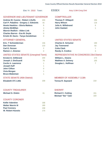Elec Yr: 2010 Town: ESSEX Assy 113th-Cong 23rd

## GOVERNOR AND LIEUTENANT GOVERNOR COMPTROLLER

| <b>Andrew M. Cuomo - Robert J.Duffy</b><br>Carl P. Paladino - Gregory J. Edwards<br><b>Howie Hawkins - Gloria Mattera</b> | 203<br>81<br>6 |
|---------------------------------------------------------------------------------------------------------------------------|----------------|
| <b>Jimmy McMillan</b><br>Warren Redlich - Alden Link                                                                      | 1<br>0         |
| <b>Charles Barron - Eva M. Doyle</b>                                                                                      | 0              |
| Kristin M. Davis - Tanya Gendelman                                                                                        | 0              |
| <b>ATTORNEY GENERAL</b>                                                                                                   |                |
| Eric. T Schneiderman                                                                                                      | 156            |
| <b>Dan Donovan</b>                                                                                                        | 110            |
| <b>Carl E. Person</b>                                                                                                     | $\overline{2}$ |
| <b>Ramon J. Jimenez</b>                                                                                                   | 0              |
| <b>UNITED STATES SENATE (Unexpired Term)</b>                                                                              |                |
| Kirsten E. Gillibrand                                                                                                     | 200            |
| Joseph J. DioGuardi                                                                                                       | 79             |
| <b>Cecile A. Lawrence</b>                                                                                                 | 1              |
| <b>Joseph Huff</b>                                                                                                        | 1              |

| $\overline{\mathbf{0}}$ |
|-------------------------|
| $\overline{1}$          |
| $\overline{1}$          |
|                         |

# STATE SENATE (45th District)

| <b>Elizabeth O'C Little</b> | 209 |
|-----------------------------|-----|
|                             |     |

#### COUNTY TREASURER

**John Clifton** 

**Vivia Morgan** 1 **Bruce Blakeman** 

| Michael G. Diskin        | 61  |
|--------------------------|-----|
| <b>COUNTY CORONER</b>    |     |
| <b>Kellie Valentine</b>  | 168 |
| <b>Walter Marvin III</b> | 180 |
| <b>Paul Connery</b>      | 158 |
| <b>W. Robert Huestis</b> | 170 |

| <b>Thomas P. DiNapoli</b> | 156 |
|---------------------------|-----|
| <b>Harry Wilson</b>       | 118 |
| Julia A. Willebrand       | 6   |
| <b>John Gaetani</b>       |     |

# UNITED STATES SENATE

| Charles E. Schumer      | 199 |
|-------------------------|-----|
| <b>Jay Townsend</b>     | 82. |
| Colia Clark             |     |
| <b>Randy A. Credico</b> | ર   |

# REPRESENTATIVE IN CONGRESS 23rd District

| <b>William L. Owens</b>  | 173 |
|--------------------------|-----|
| <b>Matthew A. Doheny</b> | 105 |
| Douglas L. Hoffman       |     |

# MEMBER OF ASSEMBLY 113th

| <b>Teresa R. Sayward</b> | 219 |
|--------------------------|-----|
|--------------------------|-----|

| <b>Richard C. Cutting</b>  | 151 |
|----------------------------|-----|
| <b>Michael "Ike" Tyler</b> | 103 |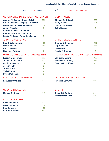Elec Yr: 2010 Town: **JAY** Assy 113th-Cong 23rd

## GOVERNOR AND LIEUTENANT GOVERNOR COMPTROLLER

| <b>Andrew M. Cuomo - Robert J.Duffy</b><br>Carl P. Paladino - Gregory J. Edwards | 551<br>296     |
|----------------------------------------------------------------------------------|----------------|
| <b>Howie Hawkins - Gloria Mattera</b>                                            | 13             |
| <b>Jimmy McMillan</b>                                                            | 6              |
| <b>Warren Redlich - Alden Link</b>                                               | 6              |
| <b>Charles Barron - Eva M. Doyle</b>                                             | 0              |
| Kristin M. Davis - Tanya Gendelman                                               | 3              |
| <b>ATTORNEY GENERAL</b>                                                          |                |
| Eric. T Schneiderman                                                             | 409            |
| <b>Dan Donovan</b>                                                               | 383            |
| <b>Carl E. Person</b>                                                            | 12             |
| <b>Ramon J. Jimenez</b>                                                          | $\Omega$       |
| <b>UNITED STATES SENATE (Unexpired Term)</b>                                     |                |
| <b>Kirsten E. Gillibrand</b>                                                     | 509            |
| Joseph J. DioGuardi                                                              | 310            |
| <b>Cecile A. Lawrence</b>                                                        | 14             |
| <b>Joseph Huff</b>                                                               | 3              |
| <b>John Clifton</b>                                                              | 5              |
| <b>Vivia Morgan</b>                                                              | $\overline{2}$ |
| <b>Bruce Blakeman</b>                                                            | 0              |
|                                                                                  |                |

# STATE SENATE (45th District)

| <b>Elizabeth O'C Little</b> | 678 |
|-----------------------------|-----|
|                             |     |

#### COUNTY TREASURER

| Michael G. Diskin        | 148 |
|--------------------------|-----|
| <b>COUNTY CORONER</b>    |     |
| <b>Kellie Valentine</b>  | 509 |
| <b>Walter Marvin III</b> | 509 |
| <b>Paul Connery</b>      | 476 |
| <b>W. Robert Huestis</b> | 483 |
|                          |     |

| <b>Thomas P. DiNapoli</b> | 373 |
|---------------------------|-----|
| <b>Harry Wilson</b>       | 421 |
| Julia A. Willebrand       | 35  |
| <b>John Gaetani</b>       | 5   |

# UNITED STATES SENATE

| <b>Charles E. Schumer</b> | 481             |
|---------------------------|-----------------|
| <b>Jay Townsend</b>       | 338             |
| Colia Clark               | 22 <sub>1</sub> |
| <b>Randy A. Credico</b>   |                 |

# REPRESENTATIVE IN CONGRESS 23rd District

| William L. Owens         | 433 |
|--------------------------|-----|
| <b>Matthew A. Doheny</b> | 382 |
| Douglas L. Hoffman       | 49  |

# MEMBER OF ASSEMBLY 113th

| <b>Teresa R. Sayward</b> | 666 |
|--------------------------|-----|
|--------------------------|-----|

| <b>Richard C. Cutting</b>  | 511 |
|----------------------------|-----|
| <b>Michael "Ike" Tyler</b> | 216 |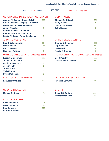Elec Yr: 2010 Town: KEENE Assy 113th-Cong 20th

## GOVERNOR AND LIEUTENANT GOVERNOR COMPTROLLER

| <b>Andrew M. Cuomo - Robert J.Duffy</b>      | 388            |
|----------------------------------------------|----------------|
| Carl P. Paladino - Gregory J. Edwards        | 129            |
| <b>Howie Hawkins - Gloria Mattera</b>        | 12             |
| <b>Jimmy McMillan</b>                        | 6              |
| <b>Warren Redlich - Alden Link</b>           | 3              |
| <b>Charles Barron - Eva M. Doyle</b>         | $\Omega$       |
| Kristin M. Davis - Tanya Gendelman           | 5              |
| <b>ATTORNEY GENERAL</b>                      |                |
| <b>Eric. T Schneiderman</b>                  | 304            |
| <b>Dan Donovan</b>                           | 185            |
| <b>Carl E. Person</b>                        | 8              |
| Ramon J. Jimenez                             | 1              |
| <b>UNITED STATES SENATE (Unexpired Term)</b> |                |
| <b>Kirsten E. Gillibrand</b>                 | 395            |
| Joseph J. DioGuardi                          | 127            |
| <b>Cecile A. Lawrence</b>                    | 1              |
| <b>Joseph Huff</b>                           | 1              |
| <b>John Clifton</b>                          | $\overline{2}$ |
| <b>Vivia Morgan</b>                          | 3              |
| <b>Bruce Blakeman</b>                        | $\overline{0}$ |

# STATE SENATE (45th District)

| <b>Elizabeth O'C Little</b> | 410 |
|-----------------------------|-----|
|                             |     |

#### COUNTY TREASURER

| <b>Michael G. Diskin</b> | 79  |
|--------------------------|-----|
| <b>COUNTY CORONER</b>    |     |
| <b>Kellie Valentine</b>  | 294 |
| <b>Walter Marvin III</b> | 341 |
| <b>Paul Connery</b>      | 279 |
| <b>W. Robert Huestis</b> | 277 |

| <b>Thomas P. DiNapoli</b>  | 274 |
|----------------------------|-----|
| <b>Harry Wilson</b>        | 218 |
| <b>Julia A. Willebrand</b> | -21 |
| John Gaetani               |     |

# UNITED STATES SENATE

| <b>Charles E. Schumer</b> | 362 |
|---------------------------|-----|
| <b>Jay Townsend</b>       | 159 |
| Colia Clark               |     |
| <b>Randy A. Credico</b>   |     |

## REPRESENTATIVE IN CONGRESS 20th District

| <b>Scott Murphy</b>          | 368 |
|------------------------------|-----|
| <b>Christopher P. Gibson</b> | 169 |

# MEMBER OF ASSEMBLY 113th

| <b>Teresa R. Sayward</b> | 409 |
|--------------------------|-----|
|--------------------------|-----|

| <b>Richard C. Cutting</b>  | 302 |
|----------------------------|-----|
| <b>Michael "Ike" Tyler</b> | 163 |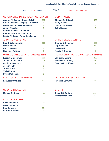Elec Yr: 2010 Town: LEWIS Assy 113th-Cong 23rd

#### GOVERNOR AND LIEUTENANT GOVERNOR COMPTROLLER

| <b>Andrew M. Cuomo - Robert J.Duffy</b>      | 297            |
|----------------------------------------------|----------------|
| Carl P. Paladino - Gregory J. Edwards        | 180            |
| <b>Howie Hawkins - Gloria Mattera</b>        | 7              |
| <b>Jimmy McMillan</b>                        | 9              |
| <b>Warren Redlich - Alden Link</b>           | $\overline{2}$ |
| <b>Charles Barron - Eva M. Doyle</b>         | $\Omega$       |
| Kristin M. Davis - Tanya Gendelman           | 1              |
| <b>ATTORNEY GENERAL</b>                      |                |
| <b>Eric. T Schneiderman</b>                  | 160            |
| <b>Dan Donovan</b>                           | 229            |
| <b>Carl E. Person</b>                        | 9              |
| <b>Ramon J. Jimenez</b>                      | 1              |
| <b>UNITED STATES SENATE (Unexpired Term)</b> |                |
| <b>Kirsten E. Gillibrand</b>                 | 251            |
| Joseph J. DioGuardi                          | 178            |
| <b>Cecile A. Lawrence</b>                    | 3              |
| <b>Joseph Huff</b>                           | $\overline{7}$ |
| <b>John Clifton</b>                          | 3              |
| <b>Vivia Morgan</b>                          | $\Omega$       |
| <b>Bruce Blakeman</b>                        | 0              |
|                                              |                |

# STATE SENATE (45th District)

| <b>Elizabeth O'C Little</b> | 420 |
|-----------------------------|-----|
|                             |     |

#### COUNTY TREASURER

| Michael G. Diskin        | 86  |
|--------------------------|-----|
| <b>COUNTY CORONER</b>    |     |
| <b>Kellie Valentine</b>  | 266 |
| <b>Walter Marvin III</b> | 333 |
| <b>Paul Connery</b>      | 254 |
| <b>W. Robert Huestis</b> | 263 |

| <b>Thomas P. DiNapoli</b> | 165 |
|---------------------------|-----|
| <b>Harry Wilson</b>       | 233 |
| Julia A. Willebrand       | 18. |
| John Gaetani              |     |

# UNITED STATES SENATE

| <b>Charles E. Schumer</b> | 235 |
|---------------------------|-----|
| <b>Jay Townsend</b>       | 189 |
| Colia Clark               | 6   |
| <b>Randy A. Credico</b>   | 5   |

## REPRESENTATIVE IN CONGRESS 23rd District

| <b>William L. Owens</b>  | 185 |
|--------------------------|-----|
| <b>Matthew A. Doheny</b> | 250 |
| Douglas L. Hoffman       | 24  |

# MEMBER OF ASSEMBLY 113th

| <b>Teresa R. Sayward</b> |  | 426 |
|--------------------------|--|-----|
|--------------------------|--|-----|

| <b>Richard C. Cutting</b>  | 360 |
|----------------------------|-----|
| <b>Michael "Ike" Tyler</b> | 137 |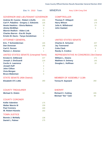Elec Yr: 2010 Town: MINERVA Assy 113th-Cong 23rd

## GOVERNOR AND LIEUTENANT GOVERNOR COMPTROLLER

| <b>Andrew M. Cuomo - Robert J.Duffy</b><br>Carl P. Paladino - Gregory J. Edwards | 203<br>135     |
|----------------------------------------------------------------------------------|----------------|
| <b>Howie Hawkins - Gloria Mattera</b>                                            | 16             |
| <b>Jimmy McMillan</b>                                                            | $\Omega$       |
| <b>Warren Redlich - Alden Link</b>                                               | 6              |
| <b>Charles Barron - Eva M. Doyle</b>                                             | $\overline{2}$ |
| Kristin M. Davis - Tanya Gendelman                                               | 4              |
| <b>ATTORNEY GENERAL</b>                                                          |                |
| Eric. T Schneiderman                                                             | 165            |
| <b>Dan Donovan</b>                                                               | 166            |
| <b>Carl E. Person</b>                                                            | 6              |
| <b>Ramon J. Jimenez</b>                                                          | 1              |
| <b>UNITED STATES SENATE (Unexpired Term)</b>                                     |                |
| <b>Kirsten E. Gillibrand</b>                                                     | 227            |
| Joseph J. DioGuardi                                                              | 124            |
| <b>Cecile A. Lawrence</b>                                                        | $\overline{7}$ |
| <b>Joseph Huff</b>                                                               | 0              |
| <b>John Clifton</b>                                                              | 1              |
| <b>Vivia Morgan</b>                                                              | O              |
| <b>Bruce Blakeman</b>                                                            | 0              |

# STATE SENATE (45th District)

| <b>Elizabeth O'C Little</b> | 280 |
|-----------------------------|-----|
|                             |     |

#### COUNTY TREASURER

| Michael G. Diskin        | 64  |
|--------------------------|-----|
| <b>COUNTY CORONER</b>    |     |
| <b>Kellie Valentine</b>  | 175 |
| <b>Walter Marvin III</b> | 159 |
| <b>Paul Connery</b>      | 169 |
| <b>W. Robert Huestis</b> | 162 |
| <b>TOWN JUSTICE</b>      |     |
| <b>Bonnie J. McNally</b> | 138 |
| <b>Daniel L. Palmer</b>  | 175 |

| <b>Thomas P. DiNapoli</b> | 145             |
|---------------------------|-----------------|
| <b>Harry Wilson</b>       | 179             |
| Julia A. Willebrand       | 15 <sub>1</sub> |
| <b>John Gaetani</b>       | З               |

# UNITED STATES SENATE

| <b>Charles E. Schumer</b> | 207 |
|---------------------------|-----|
| <b>Jay Townsend</b>       | 135 |
| Colia Clark               |     |
| <b>Randy A. Credico</b>   |     |

## REPRESENTATIVE IN CONGRESS 23rd District

| William L. Owens         | 171 |
|--------------------------|-----|
| <b>Matthew A. Doheny</b> | 145 |
| Douglas L. Hoffman       | 19  |

# MEMBER OF ASSEMBLY 113th

| <b>Teresa R. Sayward</b> | 260 |
|--------------------------|-----|
|--------------------------|-----|

| <b>Richard C. Cutting</b>  | 205 |
|----------------------------|-----|
| <b>Michael "Ike" Tyler</b> | 60  |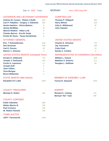Elec Yr: 2010 Town: MORIAH Assy 113th-Cong 23rd

## GOVERNOR AND LIEUTENANT GOVERNOR COMPTROLLER

| <b>Andrew M. Cuomo - Robert J.Duffy</b>      | 834 |
|----------------------------------------------|-----|
| Carl P. Paladino - Gregory J. Edwards        | 434 |
| <b>Howie Hawkins - Gloria Mattera</b>        | 9   |
| <b>Jimmy McMillan</b>                        | 10  |
| <b>Warren Redlich - Alden Link</b>           | 8   |
| <b>Charles Barron - Eva M. Doyle</b>         | 0   |
| Kristin M. Davis - Tanya Gendelman           | 6   |
| <b>ATTORNEY GENERAL</b>                      |     |
| Eric. T Schneiderman                         | 528 |
| <b>Dan Donovan</b>                           | 548 |
| <b>Carl E. Person</b>                        | 18  |
| <b>Ramon J. Jimenez</b>                      | 3   |
| <b>UNITED STATES SENATE (Unexpired Term)</b> |     |
| <b>Kirsten E. Gillibrand</b>                 | 733 |
| Joseph J. DioGuardi                          | 442 |
| <b>Cecile A. Lawrence</b>                    | 11  |
| <b>Joseph Huff</b>                           | 6   |
| <b>John Clifton</b>                          | 1   |
| <b>Vivia Morgan</b>                          | 4   |
| <b>Bruce Blakeman</b>                        | 4   |
|                                              |     |

# STATE SENATE (45th District)

| <b>Elizabeth O'C Little</b> | 1065 |
|-----------------------------|------|
|                             |      |

# COUNTY TREASURER

| <b>COUNTY CORONER</b> |  |
|-----------------------|--|

| <b>Kellie Valentine</b>   | 898  |
|---------------------------|------|
| <b>Walter Marvin III</b>  | 780  |
| <b>Paul Connery</b>       | 790  |
| <b>W. Robert Huestis</b>  | 728  |
| <b>TOWN JUSTICE</b>       |      |
| <b>Jeff F. Farnsworth</b> | 1056 |

**Michael G. Diskin** 303

| <b>Thomas P. DiNapoli</b>  | 505 |
|----------------------------|-----|
| <b>Harry Wilson</b>        | 619 |
| <b>Julia A. Willebrand</b> | 40  |
| John Gaetani               |     |

# UNITED STATES SENATE

| <b>Charles E. Schumer</b> | 722 |
|---------------------------|-----|
| <b>Jay Townsend</b>       | 459 |
| Colia Clark               | 14  |
| <b>Randy A. Credico</b>   |     |

## REPRESENTATIVE IN CONGRESS 23rd District

| <b>William L. Owens</b>  | 628 |
|--------------------------|-----|
| <b>Matthew A. Doheny</b> | 571 |
| Douglas L. Hoffman       | .56 |

## MEMBER OF ASSEMBLY 113th

| <b>Teresa R. Sayward</b> | 1100 |
|--------------------------|------|
|--------------------------|------|

| <b>Richard C. Cutting</b>  | 722 |
|----------------------------|-----|
| <b>Michael "Ike" Tyler</b> | 546 |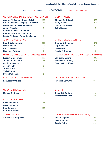Elec Yr: 2010 Town: NEWCOMB Assy 113th-Cong 23rd

## GOVERNOR AND LIEUTENANT GOVERNOR COMPTROLLER

| <b>Andrew M. Cuomo - Robert J.Duffy</b>                                  | 155            |
|--------------------------------------------------------------------------|----------------|
| Carl P. Paladino - Gregory J. Edwards                                    | 88             |
| <b>Howie Hawkins - Gloria Mattera</b>                                    | 6              |
| <b>Jimmy McMillan</b>                                                    | $\overline{2}$ |
| <b>Warren Redlich - Alden Link</b>                                       | 3              |
| <b>Charles Barron - Eva M. Doyle</b>                                     | 0              |
| Kristin M. Davis - Tanya Gendelman                                       | 1              |
| <b>ATTORNEY GENERAL</b>                                                  |                |
| <b>Eric. T Schneiderman</b>                                              | 105            |
| <b>Dan Donovan</b>                                                       | 123            |
| <b>Carl E. Person</b>                                                    | 1              |
| <b>Ramon J. Jimenez</b>                                                  | 0              |
| <b>UNITED STATES SENATE (Unexpired Term)</b>                             |                |
| <b>Kirsten E. Gillibrand</b>                                             | 150            |
| Joseph J. DioGuardi                                                      | 90             |
| <b>Cecile A. Lawrence</b>                                                | $\Omega$       |
| <b>Joseph Huff</b>                                                       | $\Omega$       |
| <b>John Clifton</b>                                                      | 1              |
| <b>Vivia Morgan</b>                                                      | 0              |
| <b>Bruce Blakeman</b>                                                    | 1              |
| $Q = \mathbf{A} + \mathbf{C}$ $Q = \mathbf{A} + \mathbf{A} + \mathbf{C}$ |                |

## STATE SENATE (45th District)

| <b>Elizabeth O'C Little</b> | 209 |
|-----------------------------|-----|
|                             |     |

#### COUNTY TREASURER

| <b>COUNTY CORONER</b> |  |
|-----------------------|--|

| <b>Kellie Valentine</b>      | 144 |
|------------------------------|-----|
| <b>Walter Marvin III</b>     | 135 |
| <b>Paul Connery</b>          | 138 |
| <b>W. Robert Huestis</b>     | 132 |
| <b>TOWN JUSTICE</b>          |     |
| <b>Andrew V. Stengrevics</b> | 150 |

**Michael G. Diskin** 45

| <b>Thomas P. DiNapoli</b>  | 100 |
|----------------------------|-----|
| <b>Harry Wilson</b>        | 124 |
| <b>Julia A. Willebrand</b> | 6   |
| <b>John Gaetani</b>        |     |

# UNITED STATES SENATE

| <b>Charles E. Schumer</b> | 141 |
|---------------------------|-----|
| <b>Jay Townsend</b>       | 102 |
| Colia Clark               |     |
| <b>Randy A. Credico</b>   |     |

## REPRESENTATIVE IN CONGRESS 23rd District

| <b>William L. Owens</b>  | 110 |
|--------------------------|-----|
| <b>Matthew A. Doheny</b> | 121 |
| Douglas L. Hoffman       |     |

## MEMBER OF ASSEMBLY 113th

| <b>Teresa R. Sayward</b> |  |
|--------------------------|--|
|--------------------------|--|

#### **SHERIFF**

| <b>Richard C. Cutting</b>  | 148 |
|----------------------------|-----|
| <b>Michael "Ike" Tyler</b> | .51 |

## COUNCILMAN (UNEXPIRED TERM)

| <b>Joseph Lapointe</b> | 18  |
|------------------------|-----|
| <b>Joseph Novak</b>    | -91 |
| Donald R. Bott         | 141 |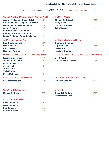Elec Yr: 2010 Town: NORTH ELBA Assy 113th-Cong 20th

## GOVERNOR AND LIEUTENANT GOVERNOR COMPTROLLER

| <b>Andrew M. Cuomo - Robert J.Duffy</b>      | 1505           |
|----------------------------------------------|----------------|
| Carl P. Paladino - Gregory J. Edwards        | 629            |
| <b>Howie Hawkins - Gloria Mattera</b>        | 28             |
| <b>Jimmy McMillan</b>                        | 17             |
| Warren Redlich - Alden Link                  | 43             |
| <b>Charles Barron - Eva M. Doyle</b>         | $\mathbf{1}$   |
| Kristin M. Davis - Tanya Gendelman           | 14             |
| <b>ATTORNEY GENERAL</b>                      |                |
| Eric. T Schneiderman                         | 1077           |
| <b>Dan Donovan</b>                           | 981            |
| <b>Carl E. Person</b>                        | 21             |
| <b>Ramon J. Jimenez</b>                      | $\overline{2}$ |
| <b>UNITED STATES SENATE (Unexpired Term)</b> |                |
| <b>Kirsten E. Gillibrand</b>                 | 1429           |
| Joseph J. DioGuardi                          | 740            |
| <b>Cecile A. Lawrence</b>                    | 12             |
| <b>Joseph Huff</b>                           | 6              |
| <b>John Clifton</b>                          | 13             |
| <b>Vivia Morgan</b>                          | 5              |
| <b>Bruce Blakeman</b>                        | 0              |
| <b>STATE SENATE (45th District)</b>          |                |

| <b>Thomas P. DiNapoli</b> | 999  |
|---------------------------|------|
| <b>Harry Wilson</b>       | 1053 |
| Julia A. Willebrand       | 53   |
| John Gaetani              | 11   |

# UNITED STATES SENATE

| <b>Charles E. Schumer</b> | 1389 |
|---------------------------|------|
| <b>Jay Townsend</b>       | 775  |
| Colia Clark               | -21  |
| <b>Randy A. Credico</b>   | 16   |

## REPRESENTATIVE IN CONGRESS 20th District

| <b>Scott Murphy</b>          | 1268 |
|------------------------------|------|
| <b>Christopher P. Gibson</b> | 935  |

## MEMBER OF ASSEMBLY 113th

| <b>Teresa R. Sayward</b> | 1647 |
|--------------------------|------|
|--------------------------|------|

#### **SHERIFF**

| <b>Richard C. Cutting</b>  | 1313 |
|----------------------------|------|
| <b>Michael "Ike" Tyler</b> | -322 |

#### **Michael G. Diskin** 289 COUNTY TREASURER

| <b>COUNTY CORONER</b> |  |
|-----------------------|--|

| <b>Kellie Valentine</b>  | 1241 |
|--------------------------|------|
| <b>Walter Marvin III</b> | 1222 |
| <b>Paul Connery</b>      | 1168 |
| <b>W. Robert Huestis</b> | 1136 |

**Elizabeth O'C Little** 1693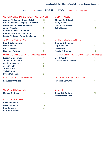Elec Yr: 2010 Town: NORTH HUDSON Assy 113th-Cong 20th

## GOVERNOR AND LIEUTENANT GOVERNOR COMPTROLLER

| <b>Andrew M. Cuomo - Robert J.Duffy</b>     | 55       |
|---------------------------------------------|----------|
| Carl P. Paladino - Gregory J. Edwards       | 63       |
| <b>Howie Hawkins - Gloria Mattera</b>       | 3        |
| <b>Jimmy McMillan</b>                       | $\Omega$ |
| Warren Redlich - Alden Link                 | 1        |
| <b>Charles Barron - Eva M. Doyle</b>        | 0        |
| Kristin M. Davis - Tanya Gendelman          | Ω        |
| <b>ATTORNEY GENERAL</b>                     |          |
| Eric. T Schneiderman                        | 31       |
| <b>Dan Donovan</b>                          | 75       |
| <b>Carl E. Person</b>                       | 0        |
| <b>Ramon J. Jimenez</b>                     | 1        |
| <b>UNITED STATES SENATE (Unexpired Term</b> |          |
| Kirsten E. Gillibrand                       | 64       |
| Joseph J. DioGuardi                         | 48       |

| hneiderman     | 31 | CI |
|----------------|----|----|
| wan            | 75 | Ja |
| erson          |    | C. |
| <b>Jimenez</b> |    | R. |
|                |    |    |

#### UNITED STATES SENATE (Unexpired Term)

| <b>Kirsten E. Gillibrand</b> | 64 |
|------------------------------|----|
| Joseph J. DioGuardi          | 48 |
| <b>Cecile A. Lawrence</b>    | 2  |
| <b>Joseph Huff</b>           | 1  |
| <b>John Clifton</b>          | 1  |
| Vivia Morgan                 | Ω  |
| <b>Bruce Blakeman</b>        | Λ  |
|                              |    |

# STATE SENATE (45th District)

| 107 |
|-----|
|     |

#### COUNTY TREASURER

| <b>Michael G. Diskin</b> | 28 |
|--------------------------|----|
| <b>COUNTY CORONER</b>    |    |
| <b>Kellie Valentine</b>  | 74 |
| <b>Walter Marvin III</b> | 75 |
| <b>Paul Connery</b>      | 80 |
| <b>W. Robert Huestis</b> | 75 |

| 28 |
|----|
| 75 |
|    |
|    |
|    |

# UNITED STATES SENATE

| 48 |
|----|
| 61 |
| 3. |
|    |
|    |

## REPRESENTATIVE IN CONGRESS 20th District

| <b>Scott Murphy</b>          | .52 |
|------------------------------|-----|
| <b>Christopher P. Gibson</b> | 65  |

# MEMBER OF ASSEMBLY 113th

| <b>Teresa R. Sayward</b> | 107 |
|--------------------------|-----|
|--------------------------|-----|

| <b>Richard C. Cutting</b>  | 84. |
|----------------------------|-----|
| <b>Michael "Ike" Tyler</b> | .33 |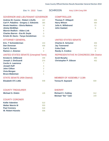Elec Yr: 2010 Town: SCHROON Assy 113th-Cong 20th

## GOVERNOR AND LIEUTENANT GOVERNOR COMPTROLLER

| <b>Andrew M. Cuomo - Robert J.Duffy</b>      | 337            |
|----------------------------------------------|----------------|
| Carl P. Paladino - Gregory J. Edwards        | 385            |
| <b>Howie Hawkins - Gloria Mattera</b>        | 14             |
| <b>Jimmy McMillan</b>                        | 6              |
| <b>Warren Redlich - Alden Link</b>           | 9              |
| <b>Charles Barron - Eva M. Doyle</b>         | $\Omega$       |
| Kristin M. Davis - Tanya Gendelman           | 11             |
| <b>ATTORNEY GENERAL</b>                      |                |
| Eric. T Schneiderman                         | 243            |
| <b>Dan Donovan</b>                           | 458            |
| <b>Carl E. Person</b>                        | 9              |
| <b>Ramon J. Jimenez</b>                      | 0              |
| <b>UNITED STATES SENATE (Unexpired Term)</b> |                |
| <b>Kirsten E. Gillibrand</b>                 | 358            |
| Joseph J. DioGuardi                          | 374            |
| <b>Cecile A. Lawrence</b>                    | $\overline{7}$ |
| <b>Joseph Huff</b>                           | 4              |
| <b>John Clifton</b>                          | $\overline{2}$ |
| <b>Vivia Morgan</b>                          | $\overline{2}$ |
| <b>Bruce Blakeman</b>                        | 1              |
|                                              |                |

# STATE SENATE (45th District)

| <b>Elizabeth O'C Little</b> | 648 |
|-----------------------------|-----|
|                             |     |

#### COUNTY TREASURER

| Michael G. Diskin        | 126 |
|--------------------------|-----|
| <b>COUNTY CORONER</b>    |     |
| <b>Kellie Valentine</b>  | 510 |
| <b>Walter Marvin III</b> | 503 |
| <b>Paul Connery</b>      | 518 |
| <b>W. Robert Huestis</b> | 506 |

| <b>Thomas P. DiNapoli</b>  | 205 |
|----------------------------|-----|
| <b>Harry Wilson</b>        | 484 |
| <b>Julia A. Willebrand</b> | -21 |
| <b>John Gaetani</b>        | 5   |

# UNITED STATES SENATE

| <b>Charles E. Schumer</b> | 306 |
|---------------------------|-----|
| <b>Jay Townsend</b>       | 412 |
| Colia Clark               | 10  |
| <b>Randy A. Credico</b>   | ิค  |

## REPRESENTATIVE IN CONGRESS 20th District

| <b>Scott Murphy</b>          | .300 |
|------------------------------|------|
| <b>Christopher P. Gibson</b> | 452  |

## MEMBER OF ASSEMBLY 113th

|  | <b>Teresa R. Sayward</b> | 634 |
|--|--------------------------|-----|
|--|--------------------------|-----|

| <b>Richard C. Cutting</b>  | 512 |
|----------------------------|-----|
| <b>Michael "Ike" Tyler</b> | 143 |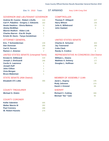Elec Yr: 2010 Town: ST ARMAND Assy 114th-Cong 23rd

## GOVERNOR AND LIEUTENANT GOVERNOR COMPTROLLER

| <b>Andrew M. Cuomo - Robert J.Duffy</b><br>Carl P. Paladino - Gregory J. Edwards | 319<br>162     |
|----------------------------------------------------------------------------------|----------------|
| <b>Howie Hawkins - Gloria Mattera</b>                                            | 11             |
| <b>Jimmy McMillan</b>                                                            | 5              |
| <b>Warren Redlich - Alden Link</b>                                               | 5              |
| <b>Charles Barron - Eva M. Doyle</b>                                             | 1              |
| Kristin M. Davis - Tanya Gendelman                                               | 7              |
| <b>ATTORNEY GENERAL</b>                                                          |                |
| <b>Eric. T Schneiderman</b>                                                      | 239            |
| <b>Dan Donovan</b>                                                               | 209            |
| <b>Carl E. Person</b>                                                            | 10             |
| <b>Ramon J. Jimenez</b>                                                          | $\overline{2}$ |
| <b>UNITED STATES SENATE (Unexpired Term)</b>                                     |                |
| <b>Kirsten E. Gillibrand</b>                                                     | 319            |
| Joseph J. DioGuardi                                                              | 166            |
| <b>Cecile A. Lawrence</b>                                                        | 4              |
| <b>Joseph Huff</b>                                                               | 1              |
| <b>John Clifton</b>                                                              | 1              |
| <b>Vivia Morgan</b>                                                              | 3              |
| <b>Bruce Blakeman</b>                                                            | 1              |

| <b>Elizabeth O'C Little</b> |  |
|-----------------------------|--|
|                             |  |

#### COUNTY TREASURER

| Michael G. Diskin        | 88  |
|--------------------------|-----|
| <b>COUNTY CORONER</b>    |     |
| <b>Kellie Valentine</b>  | 305 |
| <b>Walter Marvin III</b> | 282 |
| <b>Paul Connery</b>      | 288 |
| <b>W. Robert Huestis</b> | 274 |

| <b>Thomas P. DiNapoli</b> | 227             |
|---------------------------|-----------------|
| <b>Harry Wilson</b>       | 235             |
| Julia A. Willebrand       | 15 <sub>1</sub> |
| John Gaetani              | 3               |

# UNITED STATES SENATE

| Charles E. Schumer      | 303 |
|-------------------------|-----|
| <b>Jay Townsend</b>     | 180 |
| Colia Clark             | 6   |
| <b>Randy A. Credico</b> | 6   |

## REPRESENTATIVE IN CONGRESS 23rd District

| <b>William L. Owens</b>  | 271 |
|--------------------------|-----|
| <b>Matthew A. Doheny</b> | 177 |
| Douglas L. Hoffman       | -54 |

# STATE SENATE (45th District) MEMBER OF ASSEMBLY 114th

| <b>Janet L. Duprey</b>     | 145 |
|----------------------------|-----|
| <b>Rudy Johnson</b>        | 274 |
| David J. Kimmel            | 69  |
| <b>SHERIFF</b>             |     |
| <b>Richard C. Cutting</b>  | 306 |
| <b>Michael "Ike" Tyler</b> | 92  |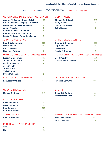Elec Yr: 2010 Town: TICONDEROGA Assy 113th-Cong 20th

## GOVERNOR AND LIEUTENANT GOVERNOR COMPTROLLER

| <b>Andrew M. Cuomo - Robert J.Duffy</b>      | 405            |
|----------------------------------------------|----------------|
| Carl P. Paladino - Gregory J. Edwards        | 263            |
| <b>Howie Hawkins - Gloria Mattera</b>        | 9              |
| <b>Jimmy McMillan</b>                        | $\overline{7}$ |
| <b>Warren Redlich - Alden Link</b>           | 4              |
| <b>Charles Barron - Eva M. Doyle</b>         | $\Omega$       |
| Kristin M. Davis - Tanya Gendelman           | 5              |
| <b>ATTORNEY GENERAL</b>                      |                |
| <b>Eric. T Schneiderman</b>                  | 261            |
| <b>Dan Donovan</b>                           | 352            |
| <b>Carl E. Person</b>                        | 5              |
| <b>Ramon J. Jimenez</b>                      | 0              |
| <b>UNITED STATES SENATE (Unexpired Term)</b> |                |
| <b>Kirsten E. Gillibrand</b>                 | 419            |
| Joseph J. DioGuardi                          | 249            |
| <b>Cecile A. Lawrence</b>                    | 4              |
| <b>Joseph Huff</b>                           | 4              |
| <b>John Clifton</b>                          | $\overline{2}$ |
| <b>Vivia Morgan</b>                          | $\Omega$       |
| <b>Bruce Blakeman</b>                        | 1              |
| <b>STATE SENATE (45th District)</b>          |                |

| <b>Thomas P. DiNapoli</b> | 240 |
|---------------------------|-----|
| <b>Harry Wilson</b>       | 368 |
| Julia A. Willebrand       | 29  |
| <b>John Gaetani</b>       |     |

# UNITED STATES SENATE

| <b>Charles E. Schumer</b> | 350 |
|---------------------------|-----|
| <b>Jay Townsend</b>       | 289 |
| Colia Clark               | 6   |
| <b>Randy A. Credico</b>   |     |

## REPRESENTATIVE IN CONGRESS 20th District

| <b>Scott Murphy</b>          | -331 |
|------------------------------|------|
| <b>Christopher P. Gibson</b> | 341  |

# MEMBER OF ASSEMBLY 113th

| <b>Teresa R. Sayward</b> | 603 |
|--------------------------|-----|
|--------------------------|-----|

#### **SHERIFF**

| <b>Richard C. Cutting</b>  | 430 |
|----------------------------|-----|
| <b>Michael "Ike" Tyler</b> | 193 |

# COUNTY CORONER

COUNTY TREASURER

| <b>UUUINI LUURUNER</b>   |     |
|--------------------------|-----|
| <b>Kellie Valentine</b>  | 382 |
| <b>Walter Marvin III</b> | 371 |
| <b>Paul Connery</b>      | 565 |
| <b>W. Robert Huestis</b> | 378 |
| <b>TOWN JUSTICE</b>      |     |
| Keith A. Dolbeck         | 601 |

**Elizabeth O'C Little** 622

**Michael G. Diskin** 248

# **YES** 125 PROPOSAL 1 - A PROPOSITION

**NO** 462

#### HIGHWAY SUPERINTENDENT (UNEXP TERM)

| <b>Michael M. Parent</b> | 582 |
|--------------------------|-----|
| <b>Paul J. Sharkey</b>   | 54  |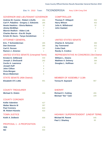Elec Yr: 2010 Town: TICONDEROGA Assy 113th-Cong 23rd

## GOVERNOR AND LIEUTENANT GOVERNOR COMPTROLLER

| <b>Andrew M. Cuomo - Robert J.Duffy</b>      | 464            |
|----------------------------------------------|----------------|
| Carl P. Paladino - Gregory J. Edwards        | 295            |
| <b>Howie Hawkins - Gloria Mattera</b>        | 10             |
| <b>Jimmy McMillan</b>                        | $\overline{7}$ |
| <b>Warren Redlich - Alden Link</b>           | 4              |
| <b>Charles Barron - Eva M. Doyle</b>         | $\Omega$       |
| Kristin M. Davis - Tanya Gendelman           | $\overline{2}$ |
| <b>ATTORNEY GENERAL</b>                      |                |
| Eric. T Schneiderman                         | 285            |
| <b>Dan Donovan</b>                           | 384            |
| <b>Carl E. Person</b>                        | 14             |
| <b>Ramon J. Jimenez</b>                      | 1              |
| <b>UNITED STATES SENATE (Unexpired Term)</b> |                |
| <b>Kirsten E. Gillibrand</b>                 | 433            |
| Joseph J. DioGuardi                          | 292            |
| <b>Cecile A. Lawrence</b>                    | $\overline{7}$ |
| <b>Joseph Huff</b>                           | 4              |
| <b>John Clifton</b>                          | 4              |
| <b>Vivia Morgan</b>                          | $\overline{2}$ |
| <b>Bruce Blakeman</b>                        | 0              |
| <b>STATE SENATE (45th District)</b>          |                |

| <b>Thomas P. DiNapoli</b>  | 252 |
|----------------------------|-----|
| <b>Harry Wilson</b>        | 402 |
| <b>Julia A. Willebrand</b> | .32 |
| John Gaetani               |     |

# UNITED STATES SENATE

| <b>Charles E. Schumer</b> | 390 |
|---------------------------|-----|
| <b>Jay Townsend</b>       | 321 |
| Colia Clark               | 1 O |
| <b>Randy A. Credico</b>   |     |

## REPRESENTATIVE IN CONGRESS 23rd District

| <b>William L. Owens</b>  | 286 |
|--------------------------|-----|
| <b>Matthew A. Doheny</b> | 384 |
| Douglas L. Hoffman       | -62 |

## MEMBER OF ASSEMBLY 113th

| <b>Teresa R. Sayward</b> | 667 |
|--------------------------|-----|
|--------------------------|-----|

#### **SHERIFF**

| <b>Richard C. Cutting</b>  | 455 |
|----------------------------|-----|
| <b>Michael "Ike" Tyler</b> | 229 |

COUNTY TREASURER

#### COUNTY CORONER

| <b>Kellie Valentine</b>  | 427 |
|--------------------------|-----|
| <b>Walter Marvin III</b> | 397 |
| <b>Paul Connery</b>      | 624 |
| <b>W. Robert Huestis</b> | 422 |
| <b>TOWN JUSTICE</b>      |     |
| <b>Keith A. Dolbeck</b>  | 659 |

**Elizabeth O'C Little** 691

**Michael G. Diskin** 268

# **YES** 179 PROPOSAL 1 - A PROPOSITION

| . LV      | ,, , |
|-----------|------|
| <b>NO</b> | 554  |

# HIGHWAY SUPERINTENDENT (UNEXP TERM)

| <b>Michael M. Parent</b> | 645 |
|--------------------------|-----|
| <b>Paul J. Sharkey</b>   | 65  |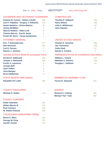Elec Yr: 2010 Town: WESTPORT Assy 113th-Cong 23rd

#### GOVERNOR AND LIEUTENANT GOVERNOR COMPTROLLER

| <b>Andrew M. Cuomo - Robert J.Duffy</b>      | 409            |
|----------------------------------------------|----------------|
| Carl P. Paladino - Gregory J. Edwards        | 176            |
| <b>Howie Hawkins - Gloria Mattera</b>        | 11             |
| <b>Jimmy McMillan</b>                        | $\overline{2}$ |
| <b>Warren Redlich - Alden Link</b>           | 6              |
| <b>Charles Barron - Eva M. Doyle</b>         | $\Omega$       |
| Kristin M. Davis - Tanya Gendelman           | $\overline{2}$ |
| <b>ATTORNEY GENERAL</b>                      |                |
| Eric. T Schneiderman                         | 277            |
| <b>Dan Donovan</b>                           | 253            |
| <b>Carl E. Person</b>                        | 5              |
| <b>Ramon J. Jimenez</b>                      | $\overline{2}$ |
| <b>UNITED STATES SENATE (Unexpired Term)</b> |                |
| <b>Kirsten E. Gillibrand</b>                 | 392            |
| Joseph J. DioGuardi                          | 184            |
| <b>Cecile A. Lawrence</b>                    | 8              |
| <b>Joseph Huff</b>                           | 1              |
| <b>John Clifton</b>                          | $\Omega$       |
| <b>Vivia Morgan</b>                          | $\Omega$       |
| <b>Bruce Blakeman</b>                        | 0              |
| <b>STATE SENATE (45th District)</b>          |                |

# **Elizabeth O'C Little** 505

#### COUNTY TREASURER

| <b>Michael G. Diskin</b>           | 140 |
|------------------------------------|-----|
| <b>COUNTY CORONER</b>              |     |
| <b>Kellie Valentine</b>            | 332 |
| <b>Walter Marvin III</b>           | 411 |
| <b>Paul Connery</b>                | 325 |
| <b>W. Robert Huestis</b>           | 350 |
| <b>COUNCILMAN (UNEXPIRED TERM)</b> |     |
| <b>Bruce E. Ware</b>               | 328 |
| <b>George W. King</b>              | 137 |
| <b>Gerald Goulet</b>               | 80  |

| <b>Thomas P. DiNapoli</b> | 264 |
|---------------------------|-----|
| <b>Harry Wilson</b>       | 268 |
| Julia A. Willebrand       | 18  |
| John Gaetani              | ନ   |

# UNITED STATES SENATE

| <b>Charles E. Schumer</b> | 369             |
|---------------------------|-----------------|
| <b>Jay Townsend</b>       | 206             |
| Colia Clark               | 12 <sub>1</sub> |
| <b>Randy A. Credico</b>   |                 |

## REPRESENTATIVE IN CONGRESS 23rd District

| <b>William L. Owens</b>  | 324 |
|--------------------------|-----|
| <b>Matthew A. Doheny</b> | 249 |
| Douglas L. Hoffman       | -24 |

# MEMBER OF ASSEMBLY 113th

|  | <b>Teresa R. Sayward</b> |  | 512 |
|--|--------------------------|--|-----|
|--|--------------------------|--|-----|

| <b>Richard C. Cutting</b>  | 263 |
|----------------------------|-----|
| <b>Michael "Ike" Tyler</b> | 352 |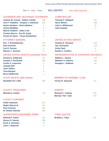Elec Yr: 2010 Town: WILLSBORO Assy 113th-Cong 23rd

## GOVERNOR AND LIEUTENANT GOVERNOR COMPTROLLER

| <b>Andrew M. Cuomo - Robert J.Duffy</b>      | 539            |
|----------------------------------------------|----------------|
| Carl P. Paladino - Gregory J. Edwards        | 249            |
| <b>Howie Hawkins - Gloria Mattera</b>        | $\overline{2}$ |
| <b>Jimmy McMillan</b>                        | 9              |
| <b>Warren Redlich - Alden Link</b>           | $\overline{2}$ |
| <b>Charles Barron - Eva M. Doyle</b>         | 1              |
| Kristin M. Davis - Tanya Gendelman           | 1              |
| <b>ATTORNEY GENERAL</b>                      |                |
| Eric. T Schneiderman                         | 278            |
| <b>Dan Donovan</b>                           | 344            |
| <b>Carl E. Person</b>                        | 3              |
| <b>Ramon J. Jimenez</b>                      | 0              |
| <b>UNITED STATES SENATE (Unexpired Term)</b> |                |
| <b>Kirsten E. Gillibrand</b>                 | 411            |
| Joseph J. DioGuardi                          | 266            |
| <b>Cecile A. Lawrence</b>                    | $\Omega$       |
| <b>Joseph Huff</b>                           | 3              |
| <b>John Clifton</b>                          | 1              |
| <b>Vivia Morgan</b>                          | 6              |
| <b>Bruce Blakeman</b>                        | 1              |
| <b>STATE SENATE (45th District)</b>          |                |

| <b>Thomas P. DiNapoli</b> | 257 |
|---------------------------|-----|
| <b>Harry Wilson</b>       | 368 |
| Julia A. Willebrand       | 21  |
| John Gaetani              |     |

# UNITED STATES SENATE

| <b>Charles E. Schumer</b> | 404 |
|---------------------------|-----|
| <b>Jay Townsend</b>       | 279 |
| Colia Clark               | 6   |
| <b>Randy A. Credico</b>   |     |

## REPRESENTATIVE IN CONGRESS 23rd District

| <b>William L. Owens</b>  | 349 |
|--------------------------|-----|
| <b>Matthew A. Doheny</b> | 340 |
| Douglas L. Hoffman       | 30  |

## MEMBER OF ASSEMBLY 113th

| <b>Teresa R. Sayward</b><br>711 |  |  |  |
|---------------------------------|--|--|--|
|---------------------------------|--|--|--|

#### **SHERIFF**

| <b>Richard C. Cutting</b>  | 520 |
|----------------------------|-----|
| <b>Michael "Ike" Tyler</b> | 223 |

# COUNTY CORONER

COUNTY TREASURER

| <b>COUNTY CORONER</b>         |     |
|-------------------------------|-----|
| <b>Kellie Valentine</b>       | 375 |
| <b>Walter Marvin III</b>      | 454 |
| <b>Paul Connery</b>           | 361 |
| <b>W. Robert Huestis</b>      | 485 |
| AUDEDIJIOOD JUUEVOIDED TEDIJI |     |

**Elizabeth O'C Little** 658

**Michael G. Diskin** 116

#### **Edward P. Hatch** 431 SUPERVISOR (UNEXPIRED TERM)

| Edward P. Hatch        | 431 |
|------------------------|-----|
| Darren R. Darrah       | 389 |
| <b>Scott A. Hommes</b> | 13  |
| <b>Lane J. Sayward</b> |     |

## TOWN JUSTICE

**Bradley L. Paye** 647